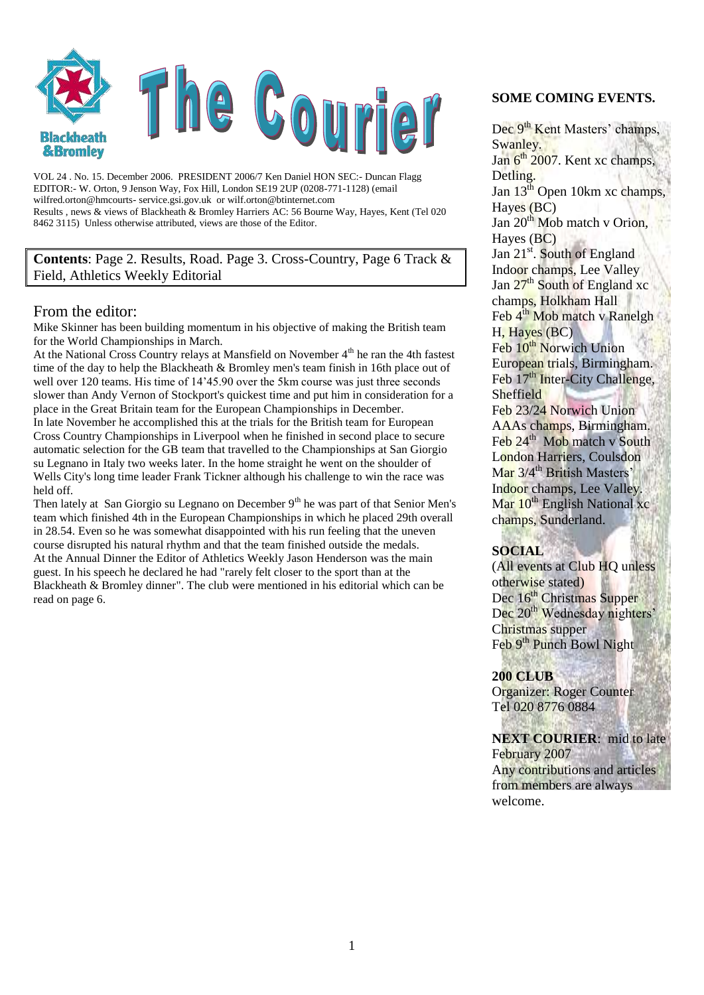

VOL 24 . No. 15. December 2006. PRESIDENT 2006/7 Ken Daniel HON SEC:- Duncan Flagg EDITOR:- W. Orton, 9 Jenson Way, Fox Hill, London SE19 2UP (0208-771-1128) (email wilfred.orton@hmcourts- service.gsi.gov.uk or wilf.orton@btinternet.com Results , news & views of Blackheath & Bromley Harriers AC: 56 Bourne Way, Hayes, Kent (Tel 020 8462 3115) Unless otherwise attributed, views are those of the Editor.

**Contents**: Page 2. Results, Road. Page 3. Cross-Country, Page 6 Track & Field, Athletics Weekly Editorial

#### From the editor:

Mike Skinner has been building momentum in his objective of making the British team for the World Championships in March.

At the National Cross Country relays at Mansfield on November 4<sup>th</sup> he ran the 4th fastest time of the day to help the Blackheath & Bromley men's team finish in 16th place out of well over 120 teams. His time of 14'45.90 over the 5km course was just three seconds slower than Andy Vernon of Stockport's quickest time and put him in consideration for a place in the Great Britain team for the European Championships in December. In late November he accomplished this at the trials for the British team for European Cross Country Championships in Liverpool when he finished in second place to secure automatic selection for the GB team that travelled to the Championships at San Giorgio su Legnano in Italy two weeks later. In the home straight he went on the shoulder of Wells City's long time leader Frank Tickner although his challenge to win the race was held off.

Then lately at San Giorgio su Legnano on December  $9<sup>th</sup>$  he was part of that Senior Men's team which finished 4th in the European Championships in which he placed 29th overall in 28.54. Even so he was somewhat disappointed with his run feeling that the uneven course disrupted his natural rhythm and that the team finished outside the medals. At the Annual Dinner the Editor of Athletics Weekly Jason Henderson was the main guest. In his speech he declared he had "rarely felt closer to the sport than at the Blackheath & Bromley dinner". The club were mentioned in his editorial which can be read on page 6.

#### **SOME COMING EVENTS.**

Dec 9<sup>th</sup> Kent Masters' champs, Swanley. Jan  $6<sup>th</sup>$  2007. Kent xc champs, Detling. Jan  $13<sup>th</sup>$  Open 10km xc champs. Hayes (BC) Jan 20<sup>th</sup> Mob match v Orion, Hayes (BC) Jan  $21^{st}$ . South of England Indoor champs, Lee Valley Jan 27<sup>th</sup> South of England xc champs, Holkham Hall Feb 4<sup>th</sup> Mob match v Ranelgh H, Hayes (BC) Feb  $10^{th}$  Norwich Union European trials, Birmingham. Feb 17<sup>th</sup> Inter-City Challenge, **Sheffield** Feb 23/24 Norwich Union AAAs champs, Birmingham. Feb 24<sup>th</sup> Mob match v South London Harriers, Coulsdon Mar 3/4<sup>th</sup> British Masters' Indoor champs, Lee Valley. Mar 10<sup>th</sup> English National xc

#### **SOCIAL**

champs, Sunderland.

(All events at Club HQ unless otherwise stated) Dec 16<sup>th</sup> Christmas Supper Dec 20<sup>th</sup> Wednesday nighters<sup>:</sup> Christmas supper Feb 9<sup>th</sup> Punch Bowl Night

#### **200 CLUB**

Organizer: Roger Counter Tel 020 8776 0884

**NEXT COURIER**: mid to late February 2007 Any contributions and articles

from members are always welcome.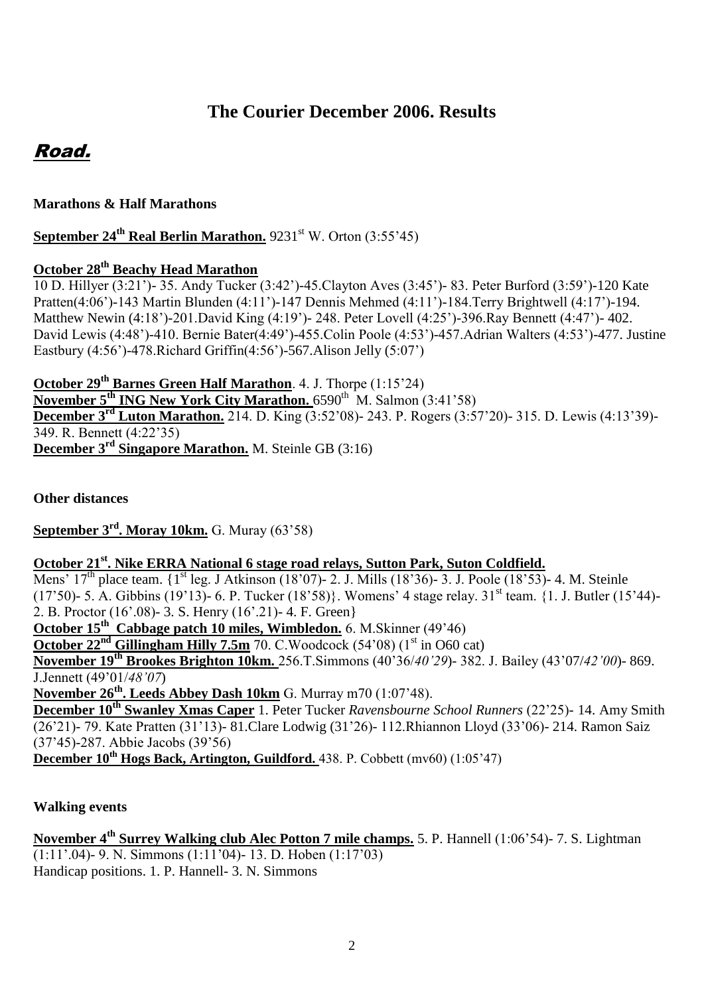# **The Courier December 2006. Results**

# Road.

## **Marathons & Half Marathons**

**September 24<sup>th</sup> Real Berlin Marathon.** 9231<sup>st</sup> W. Orton (3:55'45)

## **October 28th Beachy Head Marathon**

10 D. Hillyer (3:21')- 35. Andy Tucker (3:42')-45.Clayton Aves (3:45')- 83. Peter Burford (3:59')-120 Kate Pratten(4:06')-143 Martin Blunden (4:11')-147 Dennis Mehmed (4:11')-184.Terry Brightwell (4:17')-194. Matthew Newin (4:18')-201.David King (4:19')- 248. Peter Lovell (4:25')-396.Ray Bennett (4:47')- 402. David Lewis (4:48')-410. Bernie Bater(4:49')-455.Colin Poole (4:53')-457.Adrian Walters (4:53')-477. Justine Eastbury (4:56')-478.Richard Griffin(4:56')-567.Alison Jelly (5:07')

**October 29th Barnes Green Half Marathon**. 4. J. Thorpe (1:15'24)

**November 5<sup>th</sup> ING New York City Marathon.** 6590<sup>th</sup> M. Salmon (3:41'58) **December 3<sup>rd</sup> Luton Marathon.** 214. D. King (3:52'08)- 243. P. Rogers (3:57'20)- 315. D. Lewis (4:13'39)-349. R. Bennett (4:22'35) **December 3rd Singapore Marathon.** M. Steinle GB (3:16)

**Other distances**

**September 3rd. Moray 10km.** G. Muray (63'58)

## **October 21st. Nike ERRA National 6 stage road relays, Sutton Park, Suton Coldfield.**

Mens'  $17^{th}$  place team.  $\{1^{st}$  leg. J Atkinson (18'07)- 2. J. Mills (18'36)- 3. J. Poole (18'53)- 4. M. Steinle (17'50)- 5. A. Gibbins (19'13)- 6. P. Tucker (18'58)}. Womens' 4 stage relay.  $31<sup>st</sup>$  team. {1. J. Butler (15'44)-2. B. Proctor (16'.08)- 3. S. Henry (16'.21)- 4. F. Green}

**October 15th Cabbage patch 10 miles, Wimbledon.** 6. M.Skinner (49'46)

**October 22<sup>nd</sup> Gillingham Hilly 7.5m** 70. C.Woodcock (54'08) (1<sup>st</sup> in O60 cat)

**November 19th Brookes Brighton 10km.** 256.T.Simmons (40'36/*40'29*)- 382. J. Bailey (43'07/*42'00*)- 869. J.Jennett (49'01/*48'07*)

**November 26th. Leeds Abbey Dash 10km** G. Murray m70 (1:07'48).

**December 10th Swanley Xmas Caper** 1. Peter Tucker *Ravensbourne School Runners* (22'25)- 14. Amy Smith (26'21)- 79. Kate Pratten (31'13)- 81.Clare Lodwig (31'26)- 112.Rhiannon Lloyd (33'06)- 214. Ramon Saiz (37'45)-287. Abbie Jacobs (39'56)

**December 10th Hogs Back, Artington, Guildford.** 438. P. Cobbett (mv60) (1:05'47)

## **Walking events**

**November 4th Surrey Walking club Alec Potton 7 mile champs.** 5. P. Hannell (1:06'54)- 7. S. Lightman (1:11'.04)- 9. N. Simmons (1:11'04)- 13. D. Hoben (1:17'03) Handicap positions. 1. P. Hannell- 3. N. Simmons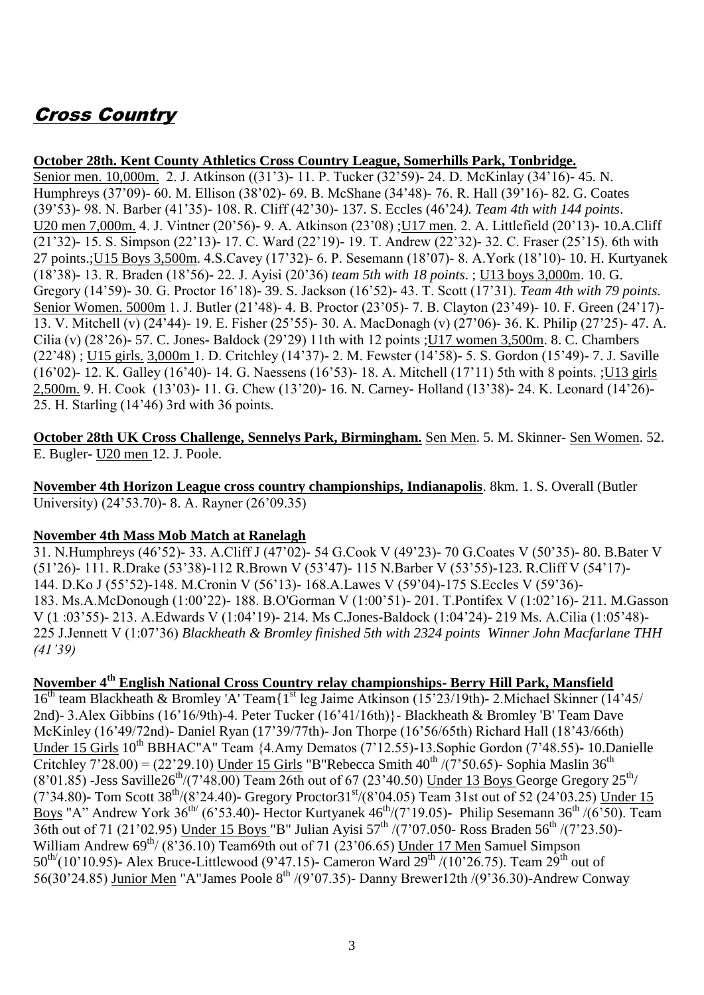# Cross Country

### **October 28th. Kent County Athletics Cross Country League, Somerhills Park, Tonbridge.**

Senior men. 10,000m. 2. J. Atkinson ((31'3)- 11. P. Tucker (32'59)- 24. D. McKinlay (34'16)- 45. N. Humphreys (37'09)- 60. M. Ellison (38'02)- 69. B. McShane (34'48)- 76. R. Hall (39'16)- 82. G. Coates (39'53)- 98. N. Barber (41'35)- 108. R. Cliff (42'30)- 137. S. Eccles (46'24*). Team 4th with 144 points*. U20 men 7,000m. 4. J. Vintner (20'56)- 9. A. Atkinson (23'08) ;U17 men. 2. A. Littlefield (20'13)- 10.A.Cliff (21'32)- 15. S. Simpson (22'13)- 17. C. Ward (22'19)- 19. T. Andrew (22'32)- 32. C. Fraser (25'15). 6th with 27 points.;U15 Boys 3,500m. 4.S.Cavey (17'32)- 6. P. Sesemann (18'07)- 8. A.York (18'10)- 10. H. Kurtyanek (18'38)- 13. R. Braden (18'56)- 22. J. Ayisi (20'36) *team 5th with 18 points*. ; U13 boys 3,000m. 10. G. Gregory (14'59)- 30. G. Proctor 16'18)- 39. S. Jackson (16'52)- 43. T. Scott (17'31). *Team 4th with 79 points.* Senior Women. 5000m 1. J. Butler (21'48)- 4. B. Proctor (23'05)- 7. B. Clayton (23'49)- 10. F. Green (24'17)- 13. V. Mitchell (v) (24'44)- 19. E. Fisher (25'55)- 30. A. MacDonagh (v) (27'06)- 36. K. Philip (27'25)- 47. A. Cilia (v) (28'26)- 57. C. Jones- Baldock (29'29) 11th with 12 points ;U17 women 3,500m. 8. C. Chambers (22'48) ; U15 girls. 3,000m 1. D. Critchley (14'37)- 2. M. Fewster (14'58)- 5. S. Gordon (15'49)- 7. J. Saville (16'02)- 12. K. Galley (16'40)- 14. G. Naessens (16'53)- 18. A. Mitchell (17'11) 5th with 8 points. ;U13 girls 2,500m. 9. H. Cook (13'03)- 11. G. Chew (13'20)- 16. N. Carney- Holland (13'38)- 24. K. Leonard (14'26)- 25. H. Starling (14'46) 3rd with 36 points.

**October 28th UK Cross Challenge, Sennelys Park, Birmingham.** Sen Men. 5. M. Skinner- Sen Women. 52. E. Bugler- U20 men 12. J. Poole.

**November 4th Horizon League cross country championships, Indianapolis**. 8km. 1. S. Overall (Butler University) (24'53.70)- 8. A. Rayner (26'09.35)

#### **November 4th Mass Mob Match at Ranelagh**

31. N.Humphreys (46'52)- 33. A.Cliff J (47'02)- 54 G.Cook V (49'23)- 70 G.Coates V (50'35)- 80. B.Bater V (51'26)- 111. R.Drake (53'38)-112 R.Brown V (53'47)- 115 N.Barber V (53'55)-123. R.Cliff V (54'17)- 144. D.Ko J (55'52)-148. M.Cronin V (56'13)- 168.A.Lawes V (59'04)-175 S.Eccles V (59'36)- 183. Ms.A.McDonough (1:00'22)- 188. B.O'Gorman V (1:00'51)- 201. T.Pontifex V (1:02'16)- 211. M.Gasson V (1 :03'55)- 213. A.Edwards V (1:04'19)- 214. Ms C.Jones-Baldock (1:04'24)- 219 Ms. A.Cilia (1:05'48)- 225 J.Jennett V (1:07'36) *Blackheath & Bromley finished 5th with 2324 points Winner John Macfarlane THH (41'39)*

## **November 4th English National Cross Country relay championships- Berry Hill Park, Mansfield**

 $16<sup>th</sup>$  team Blackheath & Bromley 'A' Team{1<sup>st</sup> leg Jaime Atkinson (15'23/19th)- 2. Michael Skinner (14'45/ 2nd)- 3.Alex Gibbins (16'16/9th)-4. Peter Tucker (16'41/16th)}- Blackheath & Bromley 'B' Team Dave McKinley (16'49/72nd)- Daniel Ryan (17'39/77th)- Jon Thorpe (16'56/65th) Richard Hall (18'43/66th) Under 15 Girls 10<sup>th</sup> BBHAC"A" Team {4.Amy Dematos (7'12.55)-13.Sophie Gordon (7'48.55)- 10.Danielle Critchley  $7'28.00$  = (22'29.10) Under 15 Girls "B"Rebecca Smith  $40^{th}$  /(7'50.65)- Sophia Maslin 36<sup>th</sup>  $(8'01.85)$  -Jess Saville26<sup>th</sup>/(7'48.00) Team 26th out of 67 (23'40.50) Under 13 Boys George Gregory 25<sup>th</sup>/  $(7'34.80)$ - Tom Scott 38<sup>th</sup>/(8'24.40)- Gregory Proctor31<sup>st</sup>/(8'04.05) Team 31st out of 52 (24'03.25) Under 15 Boys "A" Andrew York  $36<sup>th</sup>$  (6'53.40)- Hector Kurtyanek  $46<sup>th</sup>$ /(7'19.05)- Philip Sesemann  $36<sup>th</sup>$ /(6'50). Team  $\frac{1}{36}$ th out of 71 (21'02.95) Under 15 Boys "B" Julian Ayisi 57<sup>th</sup>  $(7'07.050$ - Ross Braden 56<sup>th</sup>  $(7'23.50)$ -William Andrew  $69^{th}/$  (8'36.10) Team69th out of 71 (23'06.65) Under 17 Men Samuel Simpson 50<sup>th</sup>/(10'10.95)- Alex Bruce-Littlewood (9'47.15)- Cameron Ward  $29^{th}$ /(10'26.75). Team  $29^{th}$  out of 56(30'24.85) Junior Men "A"James Poole 8<sup>th</sup>  $/(9'07.35)$ - Danny Brewer12th  $/(9'36.30)$ -Andrew Conway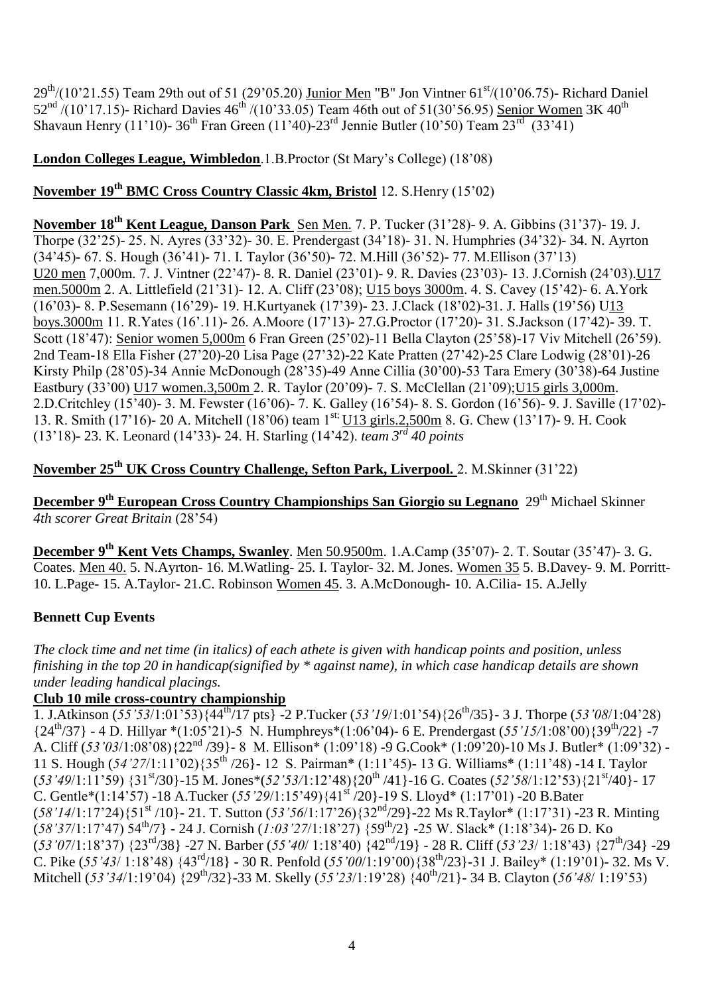29<sup>th</sup>/(10'21.55) Team 29th out of 51 (29'05.20) Junior Men "B" Jon Vintner 61<sup>st</sup>/(10'06.75)- Richard Daniel  $52^{nd}/(10^{3}17.15)$ - Richard Davies  $46^{th}/(10^{3}33.05)$  Team 46th out of  $51(30^{3}56.95)$  Senior Women 3K  $40^{th}$ Shavaun Henry (11'10)- 36<sup>th</sup> Fran Green (11'40)-23<sup>rd</sup> Jennie Butler (10'50) Team  $23^{rd}$  (33'41)

### **London Colleges League, Wimbledon**.1.B.Proctor (St Mary's College) (18'08)

## **November 19th BMC Cross Country Classic 4km, Bristol** 12. S.Henry (15'02)

**November 18th Kent League, Danson Park** Sen Men. 7. P. Tucker (31'28)- 9. A. Gibbins (31'37)- 19. J. Thorpe (32'25)- 25. N. Ayres (33'32)- 30. E. Prendergast (34'18)- 31. N. Humphries (34'32)- 34. N. Ayrton (34'45)- 67. S. Hough (36'41)- 71. I. Taylor (36'50)- 72. M.Hill (36'52)- 77. M.Ellison (37'13) U20 men 7,000m. 7. J. Vintner (22'47)- 8. R. Daniel (23'01)- 9. R. Davies (23'03)- 13. J.Cornish (24'03).U17 men.5000m 2. A. Littlefield (21'31)- 12. A. Cliff (23'08); U15 boys 3000m. 4. S. Cavey (15'42)- 6. A.York (16'03)- 8. P.Sesemann (16'29)- 19. H.Kurtyanek (17'39)- 23. J.Clack (18'02)-31. J. Halls (19'56) U13 boys.3000m 11. R.Yates (16'.11)- 26. A.Moore (17'13)- 27.G.Proctor (17'20)- 31. S.Jackson (17'42)- 39. T. Scott (18'47): Senior women 5,000m 6 Fran Green (25'02)-11 Bella Clayton (25'58)-17 Viv Mitchell (26'59). 2nd Team-18 Ella Fisher (27'20)-20 Lisa Page (27'32)-22 Kate Pratten (27'42)-25 Clare Lodwig (28'01)-26 Kirsty Philp (28'05)-34 Annie McDonough (28'35)-49 Anne Cillia (30'00)-53 Tara Emery (30'38)-64 Justine Eastbury (33'00) U17 women.3,500m 2. R. Taylor (20'09)- 7. S. McClellan (21'09);U15 girls 3,000m. 2.D.Critchley (15'40)- 3. M. Fewster (16'06)- 7. K. Galley (16'54)- 8. S. Gordon (16'56)- 9. J. Saville (17'02)- 13. R. Smith (17'16)- 20 A. Mitchell (18'06) team 1<sup>st;</sup> U13 girls.2,500m 8. G. Chew (13'17)- 9. H. Cook (13'18)- 23. K. Leonard (14'33)- 24. H. Starling (14'42). *team 3rd 40 points* 

## **November 25th UK Cross Country Challenge, Sefton Park, Liverpool.** 2. M.Skinner (31'22)

**December 9<sup>th</sup> European Cross Country Championships San Giorgio su Legnano** 29<sup>th</sup> Michael Skinner *4th scorer Great Britain* (28'54)

**December 9th Kent Vets Champs, Swanley**. Men 50.9500m. 1.A.Camp (35'07)- 2. T. Soutar (35'47)- 3. G. Coates. Men 40. 5. N.Ayrton- 16. M.Watling- 25. I. Taylor- 32. M. Jones. Women 35 5. B.Davey- 9. M. Porritt-10. L.Page- 15. A.Taylor- 21.C. Robinson Women 45. 3. A.McDonough- 10. A.Cilia- 15. A.Jelly

### **Bennett Cup Events**

*The clock time and net time (in italics) of each athete is given with handicap points and position, unless finishing in the top 20 in handicap(signified by \* against name), in which case handicap details are shown under leading handical placings.* 

#### **Club 10 mile cross-country championship**

1. J.Atkinson (*55'53*/1:01'53){44th /17 pts} -2 P.Tucker (*53'19*/1:01'54){26th/35}- 3 J. Thorpe (*53'08*/1:04'28) {24th/37} - 4 D. Hillyar \*(1:05'21)-5 N. Humphreys\*(1:06'04)- 6 E. Prendergast (*55'15/*1:08'00){39th/22} -7 A. Cliff (*53'03*/1:08'08){22nd /39}- 8 M. Ellison\* (1:09'18) -9 G.Cook\* (1:09'20)-10 Ms J. Butler\* (1:09'32) - 11 S. Hough (*54'27*/1:11'02){35th /26}- 12 S. Pairman\* (1:11'45)- 13 G. Williams\* (1:11'48) -14 I. Taylor (*53'49*/1:11'59) {31st/30}-15 M. Jones\*(*52'53/*1:12'48){20th /41}-16 G. Coates (*52'58*/1:12'53){21st/40}- 17 C. Gentle\*(1:14'57) -18 A.Tucker (*55'29*/1:15'49){41st /20}-19 S. Lloyd\* (1:17'01) -20 B.Bater (*58'14*/1:17'24){51st /10}- 21. T. Sutton (*53'56*/1:17'26){32nd/29}-22 Ms R.Taylor\* (1:17'31) -23 R. Minting (*58'37*/1:17'47) 54th/7} - 24 J. Cornish (*1:03'27*/1:18'27) {59 th/2} -25 W. Slack\* (1:18'34)- 26 D. Ko (*53'07*/1:18'37) {23rd/38} -27 N. Barber (*55'40*/ 1:18'40) {42nd/19} - 28 R. Cliff (*53'23*/ 1:18'43) {27th/34} -29 C. Pike (*55'43*/ 1:18'48) {43rd/18} - 30 R. Penfold (*55'00*/1:19'00){38th/23}-31 J. Bailey\* (1:19'01)- 32. Ms V. Mitchell (*53'34*/1:19'04) {29th/32}-33 M. Skelly (*55'23*/1:19'28) {40th/21}- 34 B. Clayton (*56'48*/ 1:19'53)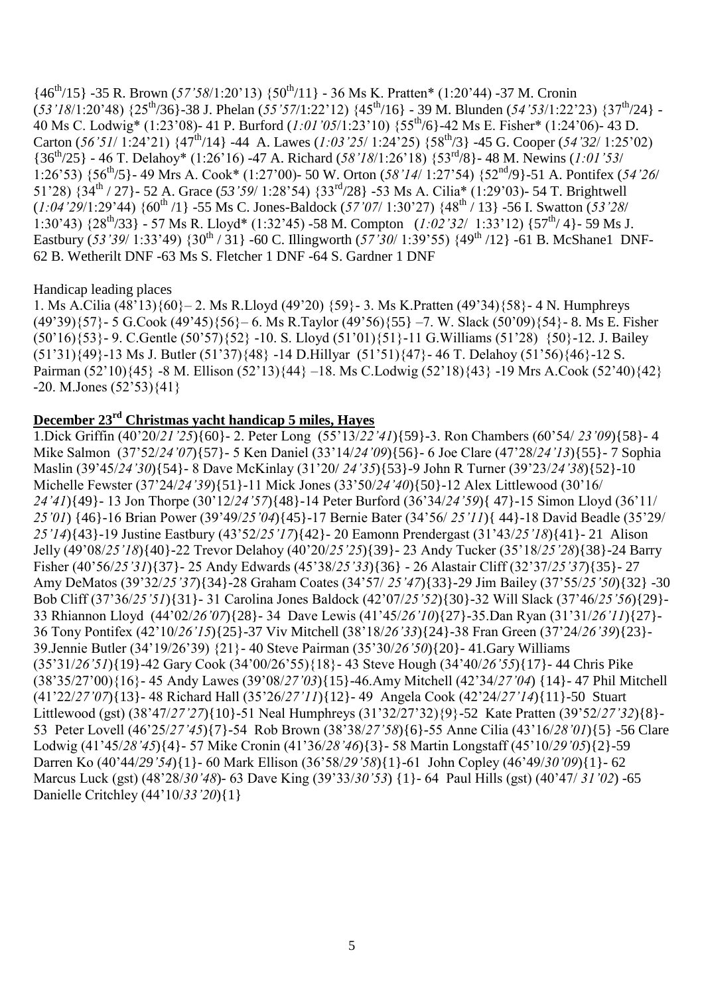{46th/15} -35 R. Brown (*57'58*/1:20'13) {50th/11} - 36 Ms K. Pratten\* (1:20'44) -37 M. Cronin (*53'18*/1:20'48) {25th/36}-38 J. Phelan (*55'57*/1:22'12) {45th/16} - 39 M. Blunden (*54'53*/1:22'23) {37th/24} - 40 Ms C. Lodwig\* (1:23'08)- 41 P. Burford (*1:01'05*/1:23'10) {55th/6}-42 Ms E. Fisher\* (1:24'06)- 43 D. Carton (*56'51*/ 1:24'21) {47th/14} -44 A. Lawes (*1:03'25*/ 1:24'25) {58th/3} -45 G. Cooper (*54'32*/ 1:25'02) {36th/25} - 46 T. Delahoy\* (1:26'16) -47 A. Richard (*58'18*/1:26'18) {53rd/8}- 48 M. Newins (*1:01'53*/ 1:26'53) {56th/5}- 49 Mrs A. Cook\* (1:27'00)- 50 W. Orton (*58'14*/ 1:27'54) {52nd/9}-51 A. Pontifex (*54'26*/ 51'28) {34th / 27}- 52 A. Grace (*53'59*/ 1:28'54) {33rd/28} -53 Ms A. Cilia\* (1:29'03)- 54 T. Brightwell (*1:04'29*/1:29'44) {60th /1} -55 Ms C. Jones-Baldock (*57'07*/ 1:30'27) {48th / 13} -56 I. Swatton (*53'28*/ 1:30'43) {28th/33} - 57 Ms R. Lloyd\* (1:32'45) -58 M. Compton (*1:02'32*/ 1:33'12) {57th/ 4}- 59 Ms J. Eastbury (*53'39*/ 1:33'49) {30th / 31} -60 C. Illingworth (*57'30*/ 1:39'55) {49th /12} -61 B. McShane1 DNF-62 B. Wetherilt DNF -63 Ms S. Fletcher 1 DNF -64 S. Gardner 1 DNF

#### Handicap leading places

1. Ms A.Cilia (48'13){60}– 2. Ms R.Lloyd (49'20) {59}- 3. Ms K.Pratten (49'34){58}- 4 N. Humphreys  $(49'39)\{57\}$  - 5 G.Cook  $(49'45)\{56\}$  – 6. Ms R.Taylor  $(49'56)\{55\}$  –7. W. Slack  $(50'09)\{54\}$  - 8. Ms E. Fisher (50'16){53}- 9. C.Gentle (50'57){52} -10. S. Lloyd (51'01){51}-11 G.Williams (51'28) {50}-12. J. Bailey (51'31){49}-13 Ms J. Butler (51'37){48} -14 D.Hillyar (51'51){47}- 46 T. Delahoy (51'56){46}-12 S. Pairman (52'10){45} -8 M. Ellison (52'13){44} –18. Ms C.Lodwig (52'18){43} -19 Mrs A.Cook (52'40){42} -20. M.Jones (52'53){41}

### **December 23rd Christmas yacht handicap 5 miles, Hayes**

1.Dick Griffin (40'20/*21'25*){60}- 2. Peter Long (55'13/*22'41*){59}-3. Ron Chambers (60'54/ *23'09*){58}- 4 Mike Salmon (37'52/*24'07*){57}- 5 Ken Daniel (33'14/*24'09*){56}- 6 Joe Clare (47'28/*24'13*){55}- 7 Sophia Maslin (39'45/*24'30*){54}- 8 Dave McKinlay (31'20/ *24'35*){53}-9 John R Turner (39'23/*24'38*){52}-10 Michelle Fewster (37'24/*24'39*){51}-11 Mick Jones (33'50/*24'40*){50}-12 Alex Littlewood (30'16/ *24'41*){49}- 13 Jon Thorpe (30'12/*24'57*){48}-14 Peter Burford (36'34/*24'59*){ 47}-15 Simon Lloyd (36'11/ *25'01*) {46}-16 Brian Power (39'49/*25'04*){45}-17 Bernie Bater (34'56/ *25'11*){ 44}-18 David Beadle (35'29/ *25'14*){43}-19 Justine Eastbury (43'52/*25'17*){42}- 20 Eamonn Prendergast (31'43/*25'18*){41}- 21 Alison Jelly (49'08/*25'18*){40}-22 Trevor Delahoy (40'20/*25'25*){39}- 23 Andy Tucker (35'18/*25'28*){38}-24 Barry Fisher (40'56/*25'31*){37}- 25 Andy Edwards (45'38/*25'33*){36} - 26 Alastair Cliff (32'37/*25'37*){35}- 27 Amy DeMatos (39'32/*25'37*){34}-28 Graham Coates (34'57/ *25'47*){33}-29 Jim Bailey (37'55/*25'50*){32} -30 Bob Cliff (37'36/*25'51*){31}- 31 Carolina Jones Baldock (42'07/*25'52*){30}-32 Will Slack (37'46/*25'56*){29}- 33 Rhiannon Lloyd (44'02/*26'07*){28}- 34 Dave Lewis (41'45/*26'10*){27}-35.Dan Ryan (31'31/*26'11*){27}- 36 Tony Pontifex (42'10/*26'15*){25}-37 Viv Mitchell (38'18/*26'33*){24}-38 Fran Green (37'24/*26'39*){23}- 39.Jennie Butler (34'19/26'39) {21}- 40 Steve Pairman (35'30/*26'50*){20}- 41.Gary Williams (35'31/*26'51*){19}-42 Gary Cook (34'00/26'55){18}- 43 Steve Hough (34'40/*26'55*){17}- 44 Chris Pike (38'35/27'00){16}- 45 Andy Lawes (39'08/*27'03*){15}-46.Amy Mitchell (42'34/*27'04*) {14}- 47 Phil Mitchell (41'22/*27'07*){13}- 48 Richard Hall (35'26/*27'11*){12}- 49 Angela Cook (42'24/*27'14*){11}-50 Stuart Littlewood (gst) (38'47/*27'27*){10}-51 Neal Humphreys (31'32/27'32){9}-52 Kate Pratten (39'52/*27'32*){8}- 53 Peter Lovell (46'25/*27'45*){7}-54 Rob Brown (38'38/*27'58*){6}-55 Anne Cilia (43'16/*28'01*){5} -56 Clare Lodwig (41'45/*28'45*){4}- 57 Mike Cronin (41'36/*28'46*){3}- 58 Martin Longstaff (45'10/*29'05*){2}-59 Darren Ko (40'44/*29'54*){1}- 60 Mark Ellison (36'58/*29'58*){1}-61 John Copley (46'49/*30'09*){1}- 62 Marcus Luck (gst) (48'28/*30'48*)- 63 Dave King (39'33/*30'53*) {1}- 64 Paul Hills (gst) (40'47/ *31'02*) -65 Danielle Critchley (44'10/*33'20*){1}